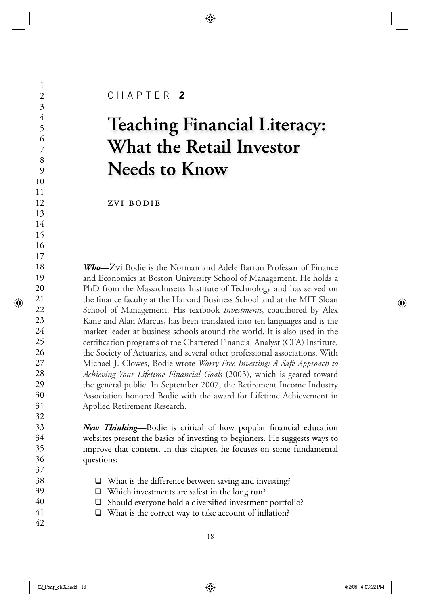# **Teaching Financial Literacy: What the Retail Investor Needs to Know**

zvi bodie

*Who*—Zvi Bodie is the Norman and Adele Barron Professor of Finance and Economics at Boston University School of Management. He holds a PhD from the Massachusetts Institute of Technology and has served on the finance faculty at the Harvard Business School and at the MIT Sloan School of Management. His textbook *Investments*, coauthored by Alex Kane and Alan Marcus, has been translated into ten languages and is the market leader at business schools around the world. It is also used in the certification programs of the Chartered Financial Analyst (CFA) Institute, the Society of Actuaries, and several other professional associations. With Michael J. Clowes, Bodie wrote *Worry-Free Investing: A Safe Approach to Achieving Your Lifetime Financial Goals* (2003), which is geared toward the general public. In September 2007, the Retirement Income Industry Association honored Bodie with the award for Lifetime Achievement in Applied Retirement Research.

*New Thinking*—Bodie is critical of how popular financial education websites present the basics of investing to beginners. He suggests ways to improve that content. In this chapter, he focuses on some fundamental questions:

- ❑ What is the difference between saving and investing?
- ❑ Which investments are safest in the long run?
- $\Box$  Should everyone hold a diversified investment portfolio?
- $\Box$  What is the correct way to take account of inflation?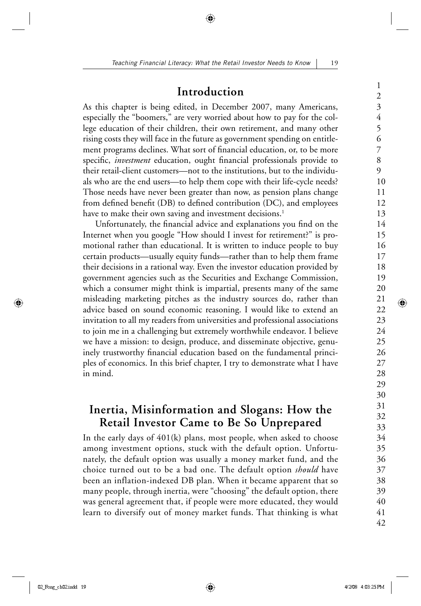#### **Introduction**

As this chapter is being edited, in December 2007, many Americans, especially the "boomers," are very worried about how to pay for the college education of their children, their own retirement, and many other rising costs they will face in the future as government spending on entitlement programs declines. What sort of financial education, or, to be more specific, *investment* education, ought financial professionals provide to their retail-client customers—not to the institutions, but to the individuals who are the end users—to help them cope with their life-cycle needs? Those needs have never been greater than now, as pension plans change from defined benefit (DB) to defined contribution (DC), and employees have to make their own saving and investment decisions.<sup>1</sup>

Unfortunately, the financial advice and explanations you find on the Internet when you google "How should I invest for retirement?" is promotional rather than educational. It is written to induce people to buy certain products—usually equity funds—rather than to help them frame their decisions in a rational way. Even the investor education provided by government agencies such as the Securities and Exchange Commission, which a consumer might think is impartial, presents many of the same misleading marketing pitches as the industry sources do, rather than advice based on sound economic reasoning. I would like to extend an invitation to all my readers from universities and professional associations to join me in a challenging but extremely worthwhile endeavor. I believe we have a mission: to design, produce, and disseminate objective, genuinely trustworthy financial education based on the fundamental principles of economics. In this brief chapter, I try to demonstrate what I have in mind.

## **Inertia, Misinformation and Slogans: How the Retail Investor Came to Be So Unprepared**

In the early days of 401(k) plans, most people, when asked to choose among investment options, stuck with the default option. Unfortunately, the default option was usually a money market fund, and the choice turned out to be a bad one. The default option *should* have been an inflation-indexed DB plan. When it became apparent that so many people, through inertia, were "choosing" the default option, there was general agreement that, if people were more educated, they would learn to diversify out of money market funds. That thinking is what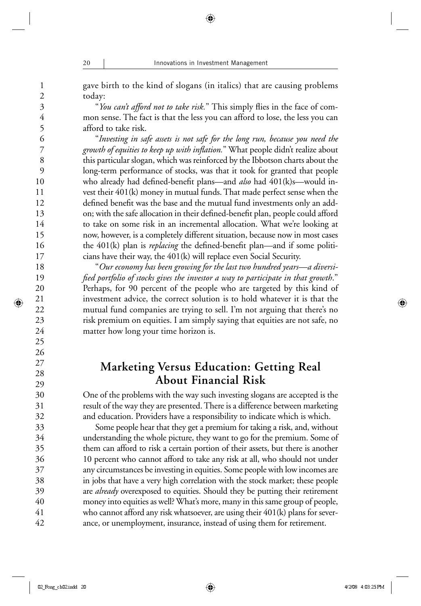gave birth to the kind of slogans (in italics) that are causing problems today:

"You can't afford not to take risk." This simply flies in the face of common sense. The fact is that the less you can afford to lose, the less you can afford to take risk.

 "*Investing in safe assets is not safe for the long run, because you need the*  growth of *equities to keep up with inflation*." What people didn't realize about this particular slogan, which was reinforced by the Ibbotson charts about the long-term performance of stocks, was that it took for granted that people who already had defined-benefit plans—and *also* had 401(k)s—would invest their 401(k) money in mutual funds. That made perfect sense when the defined benefit was the base and the mutual fund investments only an addon; with the safe allocation in their defined-benefit plan, people could afford to take on some risk in an incremental allocation. What we're looking at now, however, is a completely different situation, because now in most cases the 401(k) plan is *replacing* the defined-benefit plan—and if some politicians have their way, the 401(k) will replace even Social Security.

 "*Our economy has been growing for the last two hundred years—a diversifi ed portfolio of stocks gives the investor a way to participate in that growth*." Perhaps, for 90 percent of the people who are targeted by this kind of investment advice, the correct solution is to hold whatever it is that the mutual fund companies are trying to sell. I'm not arguing that there's no risk premium on equities. I am simply saying that equities are not safe, no matter how long your time horizon is.

## **Marketing Versus Education: Getting Real About Financial Risk**

One of the problems with the way such investing slogans are accepted is the result of the way they are presented. There is a difference between marketing and education. Providers have a responsibility to indicate which is which.

 Some people hear that they get a premium for taking a risk, and, without understanding the whole picture, they want to go for the premium. Some of them can afford to risk a certain portion of their assets, but there is another 10 percent who cannot afford to take any risk at all, who should not under any circumstances be investing in equities. Some people with low incomes are in jobs that have a very high correlation with the stock market; these people are *already* overexposed to equities. Should they be putting their retirement money into equities as well? What's more, many in this same group of people, who cannot afford any risk whatsoever, are using their 401(k) plans for severance, or unemployment, insurance, instead of using them for retirement.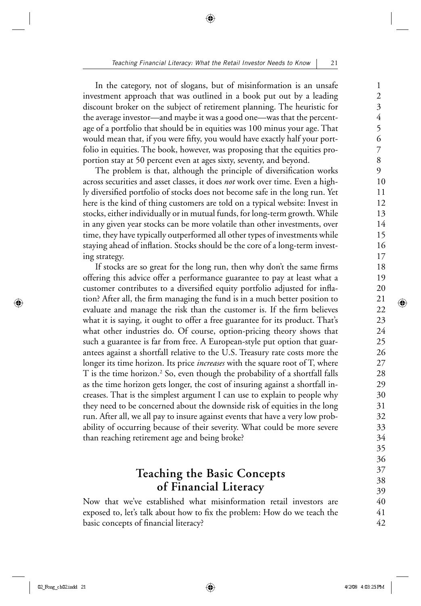In the category, not of slogans, but of misinformation is an unsafe investment approach that was outlined in a book put out by a leading discount broker on the subject of retirement planning. The heuristic for the average investor—and maybe it was a good one—was that the percentage of a portfolio that should be in equities was 100 minus your age. That would mean that, if you were fifty, you would have exactly half your portfolio in equities. The book, however, was proposing that the equities proportion stay at 50 percent even at ages sixty, seventy, and beyond.

The problem is that, although the principle of diversification works across securities and asset classes, it does *not* work over time. Even a highly diversified portfolio of stocks does not become safe in the long run. Yet here is the kind of thing customers are told on a typical website: Invest in stocks, either individually or in mutual funds, for long-term growth. While in any given year stocks can be more volatile than other investments, over time, they have typically outperformed all other types of investments while staying ahead of inflation. Stocks should be the core of a long-term investing strategy.

If stocks are so great for the long run, then why don't the same firms offering this advice offer a performance guarantee to pay at least what a customer contributes to a diversified equity portfolio adjusted for inflation? After all, the firm managing the fund is in a much better position to evaluate and manage the risk than the customer is. If the firm believes what it is saying, it ought to offer a free guarantee for its product. That's what other industries do. Of course, option-pricing theory shows that such a guarantee is far from free. A European-style put option that guarantees against a shortfall relative to the U.S. Treasury rate costs more the longer its time horizon. Its price *increases* with the square root of T, where T is the time horizon.<sup>2</sup> So, even though the probability of a shortfall falls as the time horizon gets longer, the cost of insuring against a shortfall increases. That is the simplest argument I can use to explain to people why they need to be concerned about the downside risk of equities in the long run. After all, we all pay to insure against events that have a very low probability of occurring because of their severity. What could be more severe than reaching retirement age and being broke?

## **Teaching the Basic Concepts of Financial Literacy**

Now that we've established what misinformation retail investors are exposed to, let's talk about how to fix the problem: How do we teach the basic concepts of financial literacy?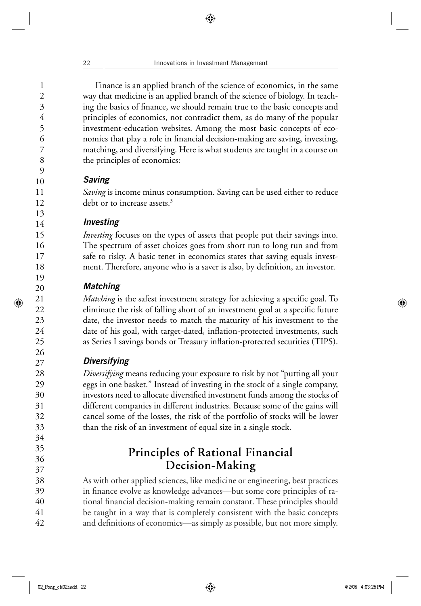Finance is an applied branch of the science of economics, in the same way that medicine is an applied branch of the science of biology. In teaching the basics of finance, we should remain true to the basic concepts and principles of economics, not contradict them, as do many of the popular investment-education websites. Among the most basic concepts of economics that play a role in financial decision-making are saving, investing, matching, and diversifying. Here is what students are taught in a course on the principles of economics:

#### *Saving*

*Saving* is income minus consumption. Saving can be used either to reduce debt or to increase assets.<sup>3</sup>

#### *Investing*

*Investing* focuses on the types of assets that people put their savings into. The spectrum of asset choices goes from short run to long run and from safe to risky. A basic tenet in economics states that saving equals investment. Therefore, anyone who is a saver is also, by definition, an investor.

#### *Matching*

*Matching* is the safest investment strategy for achieving a specific goal. To eliminate the risk of falling short of an investment goal at a specific future date, the investor needs to match the maturity of his investment to the date of his goal, with target-dated, inflation-protected investments, such as Series I savings bonds or Treasury inflation-protected securities (TIPS).

#### *Diversifying*

*Diversifying* means reducing your exposure to risk by not "putting all your eggs in one basket." Instead of investing in the stock of a single company, investors need to allocate diversified investment funds among the stocks of different companies in different industries. Because some of the gains will cancel some of the losses, the risk of the portfolio of stocks will be lower than the risk of an investment of equal size in a single stock.

# **Principles of Rational Financial Decision-Making**

As with other applied sciences, like medicine or engineering, best practices in finance evolve as knowledge advances—but some core principles of rational financial decision-making remain constant. These principles should be taught in a way that is completely consistent with the basic concepts and definitions of economics—as simply as possible, but not more simply.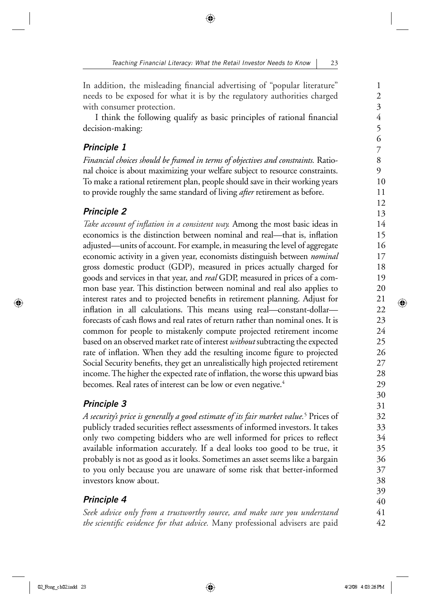In addition, the misleading financial advertising of "popular literature" needs to be exposed for what it is by the regulatory authorities charged with consumer protection.

I think the following qualify as basic principles of rational financial decision-making:

#### *Principle 1*

*Financial choices should be framed in terms of objectives and constraints.* Rational choice is about maximizing your welfare subject to resource constraints. To make a rational retirement plan, people should save in their working years to provide roughly the same standard of living *after* retirement as before.

## *Principle 2*

*Take account of inflation in a consistent way*. Among the most basic ideas in economics is the distinction between nominal and real—that is, inflation adjusted—units of account. For example, in measuring the level of aggregate economic activity in a given year, economists distinguish between *nominal* gross domestic product (GDP), measured in prices actually charged for goods and services in that year, and *real* GDP, measured in prices of a common base year. This distinction between nominal and real also applies to interest rates and to projected benefits in retirement planning. Adjust for inflation in all calculations. This means using real—constant-dollar forecasts of cash flows and real rates of return rather than nominal ones. It is common for people to mistakenly compute projected retirement income based on an observed market rate of interest *without* subtracting the expected rate of inflation. When they add the resulting income figure to projected Social Security benefits, they get an unrealistically high projected retirement income. The higher the expected rate of inflation, the worse this upward bias becomes. Real rates of interest can be low or even negative.<sup>4</sup>

## *Principle 3*

*A security's price is generally a good estimate of its fair market value.*<sup>5</sup> Prices of publicly traded securities reflect assessments of informed investors. It takes only two competing bidders who are well informed for prices to reflect available information accurately. If a deal looks too good to be true, it probably is not as good as it looks. Sometimes an asset seems like a bargain to you only because you are unaware of some risk that better-informed investors know about.

## *Principle 4*

*Seek advice only from a trustworthy source, and make sure you understand*  the scientific evidence for that advice. Many professional advisers are paid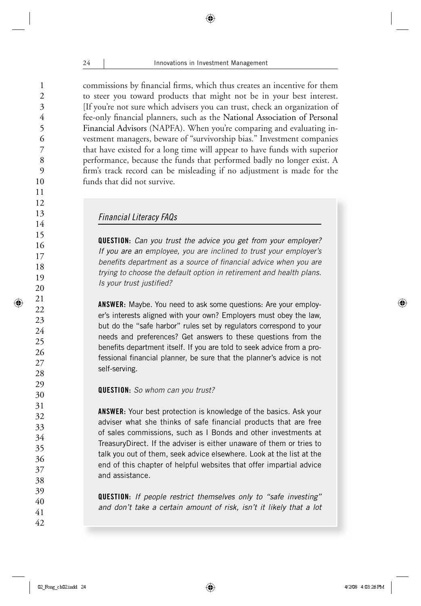commissions by financial firms, which thus creates an incentive for them to steer you toward products that might not be in your best interest. [If you're not sure which advisers you can trust, check an organization of fee-only financial planners, such as the National Association of Personal Financial Advisors (NAPFA). When you're comparing and evaluating investment managers, beware of "survivorship bias." Investment companies that have existed for a long time will appear to have funds with superior performance, because the funds that performed badly no longer exist. A firm's track record can be misleading if no adjustment is made for the funds that did not survive.

#### *Financial Literacy FAQs*

**QUESTION:** *Can you trust the advice you get from your employer? If you are an employee, you are inclined to trust your employer's*  benefits department as a source of financial advice when you are *trying to choose the default option in retirement and health plans. Is your trust justified?* 

**ANSWER:** Maybe. You need to ask some questions: Are your employer's interests aligned with your own? Employers must obey the law, but do the "safe harbor" rules set by regulators correspond to your needs and preferences? Get answers to these questions from the benefits department itself. If you are told to seek advice from a professional financial planner, be sure that the planner's advice is not self-serving.

#### **QUESTION:** *So whom can you trust?*

**ANSWER:** Your best protection is knowledge of the basics. Ask your adviser what she thinks of safe financial products that are free of sales commissions, such as I Bonds and other investments at TreasuryDirect. If the adviser is either unaware of them or tries to talk you out of them, seek advice elsewhere. Look at the list at the end of this chapter of helpful websites that offer impartial advice and assistance.

**QUESTION:** *If people restrict themselves only to "safe investing" and don't take a certain amount of risk, isn't it likely that a lot*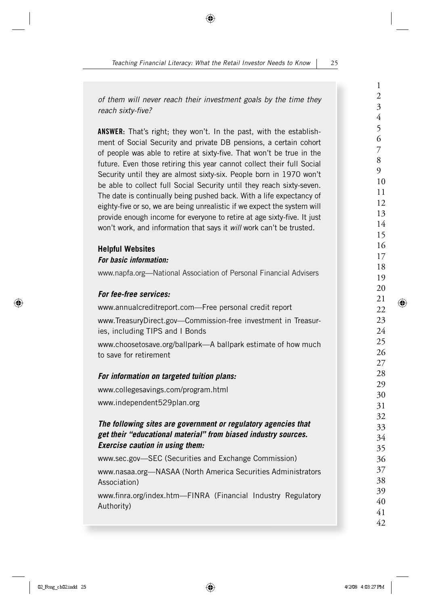*of them will never reach their investment goals by the time they reach sixty-fi ve?*

**ANSWER:** That's right; they won't. In the past, with the establishment of Social Security and private DB pensions, a certain cohort of people was able to retire at sixty-five. That won't be true in the future. Even those retiring this year cannot collect their full Social Security until they are almost sixty-six. People born in 1970 won't be able to collect full Social Security until they reach sixty-seven. The date is continually being pushed back. With a life expectancy of eighty-five or so, we are being unrealistic if we expect the system will provide enough income for everyone to retire at age sixty-five. It just won't work, and information that says it *will* work can't be trusted.

#### **Helpful Websites** *For basic information:*

www.napfa.org—National Association of Personal Financial Advisers

#### *For fee-free services:*

www.annualcreditreport.com—Free personal credit report

www.TreasuryDirect.gov—Commission-free investment in Treasuries, including TIPS and I Bonds

www.choosetosave.org/ballpark—A ballpark estimate of how much to save for retirement

#### *For information on targeted tuition plans:*

www.collegesavings.com/program.html www.independent529plan.org

#### *The following sites are government or regulatory agencies that get their "educational material" from biased industry sources. Exercise caution in using them:*

www.sec.gov—SEC (Securities and Exchange Commission) www.nasaa.org—NASAA (North America Securities Administrators Association)

www.finra.org/index.htm—FINRA (Financial Industry Regulatory Authority)